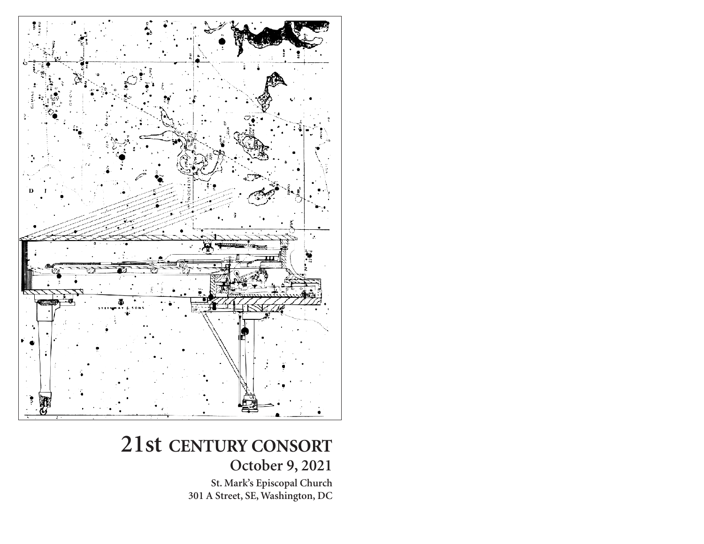

# **21st CENTURY CONSORT**

**October 9, 2021**

**St. Mark's Episcopal Church 301 A Street, SE, Washington, DC**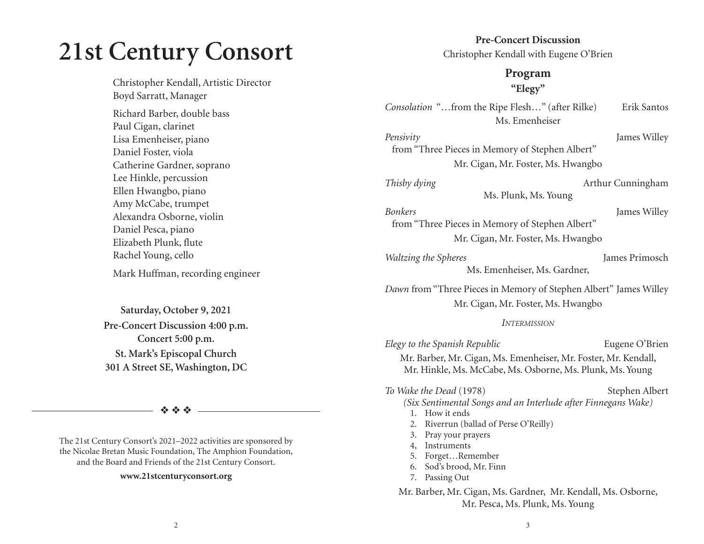# **21st Century Consort**

Christopher Kendall, Artistic Director Boyd Sarratt, Manager

Richard Barber, double bass Paul Cigan, clarinet Lisa Emenheiser, piano Daniel Foster, viola Catherine Gardner, soprano Lee Hinkle, percussion Ellen Hwangbo, piano Amy McCabe, trumpet Alexandra Osborne, violin Daniel Pesca, piano Elizabeth Plunk, flute Rachel Young, cello

Mark Huffman, recording engineer

**Saturday, October 9, 2021 Pre-Concert Discussion 4:00 p.m. Concert 5:00 p.m. St. Mark's Episcopal Church 301 A Street SE, Washington, DC** 

❖ ❖ ❖

The 21st Century Consort's 2021–2022 activities are sponsored by the Nicolae Bretan Music Foundation, The Amphion Foundation, and the Board and Friends of the 21st Century Consort.

#### **www.21stcenturyconsort.org**

**Pre-Concert Discussion** Christopher Kendall with Eugene O'Brien

#### **Program "Elegy"**

*Consolation* "...from the Ripe Flesh..." (after Rilke) Erik Santos Ms. Emenheiser

*Pensivity* James Willey from "Three Pieces in Memory of Stephen Albert" Mr. Cigan, Mr. Foster, Ms. Hwangbo

Ms. Plunk, Ms. Young

*Thisby dying* Arthur Cunningham

#### *Bonkers* James Willey from "Three Pieces in Memory of Stephen Albert" Mr. Cigan, Mr. Foster, Ms. Hwangbo

*Waltzing the Spheres* James Primosch Ms. Emenheiser, Ms. Gardner,

*Dawn* from "Three Pieces in Memory of Stephen Albert" James Willey Mr. Cigan, Mr. Foster, Ms. Hwangbo

#### *INTERMISSION*

*Elegy to the Spanish Republic* Eugene O'Brien Mr. Barber, Mr. Cigan, Ms. Emenheiser, Mr. Foster, Mr. Kendall, Mr. Hinkle, Ms. McCabe, Ms. Osborne, Ms. Plunk, Ms. Young

### *To Wake the Dead* (1978) Stephen Albert *(Six Sentimental Songs and an Interlude after Finnegans Wake)*

- 1. How it ends
- 2. Riverrun (ballad of Perse O'Reilly)
- 3. Pray your prayers
- 4, Instruments
- 5. Forget…Remember
- 6. Sod's brood, Mr. Finn
- 7. Passing Out

Mr. Barber, Mr. Cigan, Ms. Gardner, Mr. Kendall, Ms. Osborne, Mr. Pesca, Ms. Plunk, Ms. Young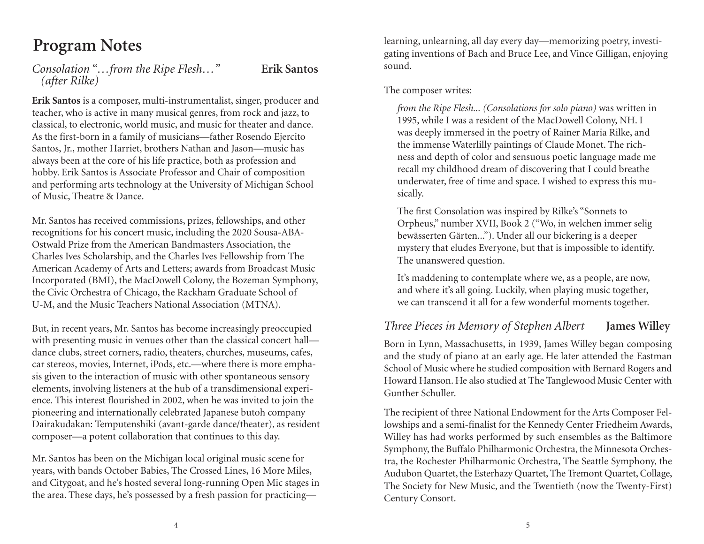# **Program Notes**

*Consolation "…from the Ripe Flesh…"* **Erik Santos**  *(after Rilke)* 

**Erik Santos** is a composer, multi-instrumentalist, singer, producer and teacher, who is active in many musical genres, from rock and jazz, to classical, to electronic, world music, and music for theater and dance. As the first-born in a family of musicians—father Rosendo Ejercito Santos, Jr., mother Harriet, brothers Nathan and Jason—music has always been at the core of his life practice, both as profession and hobby. Erik Santos is Associate Professor and Chair of composition and performing arts technology at the University of Michigan School of Music, Theatre & Dance.

Mr. Santos has received commissions, prizes, fellowships, and other recognitions for his concert music, including the 2020 Sousa-ABA-Ostwald Prize from the American Bandmasters Association, the Charles Ives Scholarship, and the Charles Ives Fellowship from The American Academy of Arts and Letters; awards from Broadcast Music Incorporated (BMI), the MacDowell Colony, the Bozeman Symphony, the Civic Orchestra of Chicago, the Rackham Graduate School of U-M, and the Music Teachers National Association (MTNA).

But, in recent years, Mr. Santos has become increasingly preoccupied with presenting music in venues other than the classical concert hall dance clubs, street corners, radio, theaters, churches, museums, cafes, car stereos, movies, Internet, iPods, etc.—where there is more emphasis given to the interaction of music with other spontaneous sensory elements, involving listeners at the hub of a transdimensional experience. This interest flourished in 2002, when he was invited to join the pioneering and internationally celebrated Japanese butoh company Dairakudakan: Temputenshiki (avant-garde dance/theater), as resident composer—a potent collaboration that continues to this day.

Mr. Santos has been on the Michigan local original music scene for years, with bands October Babies, The Crossed Lines, 16 More Miles, and Citygoat, and he's hosted several long-running Open Mic stages in the area. These days, he's possessed by a fresh passion for practicinglearning, unlearning, all day every day—memorizing poetry, investigating inventions of Bach and Bruce Lee, and Vince Gilligan, enjoying sound.

The composer writes:

*from the Ripe Flesh... (Consolations for solo piano)* was written in 1995, while I was a resident of the MacDowell Colony, NH. I was deeply immersed in the poetry of Rainer Maria Rilke, and the immense Waterlilly paintings of Claude Monet. The richness and depth of color and sensuous poetic language made me recall my childhood dream of discovering that I could breathe underwater, free of time and space. I wished to express this musically.

The first Consolation was inspired by Rilke's "Sonnets to Orpheus," number XVII, Book 2 ("Wo, in welchen immer selig bewässerten Gärten..."). Under all our bickering is a deeper mystery that eludes Everyone, but that is impossible to identify. The unanswered question.

It's maddening to contemplate where we, as a people, are now, and where it's all going. Luckily, when playing music together, we can transcend it all for a few wonderful moments together.

### *Three Pieces in Memory of Stephen Albert* **James Willey**

Born in Lynn, Massachusetts, in 1939, James Willey began composing and the study of piano at an early age. He later attended the Eastman School of Music where he studied composition with Bernard Rogers and Howard Hanson. He also studied at The Tanglewood Music Center with Gunther Schuller.

The recipient of three National Endowment for the Arts Composer Fellowships and a semi-finalist for the Kennedy Center Friedheim Awards, Willey has had works performed by such ensembles as the Baltimore Symphony, the Buffalo Philharmonic Orchestra, the Minnesota Orchestra, the Rochester Philharmonic Orchestra, The Seattle Symphony, the Audubon Quartet, the Esterhazy Quartet, The Tremont Quartet, Collage, The Society for New Music, and the Twentieth (now the Twenty-First) Century Consort.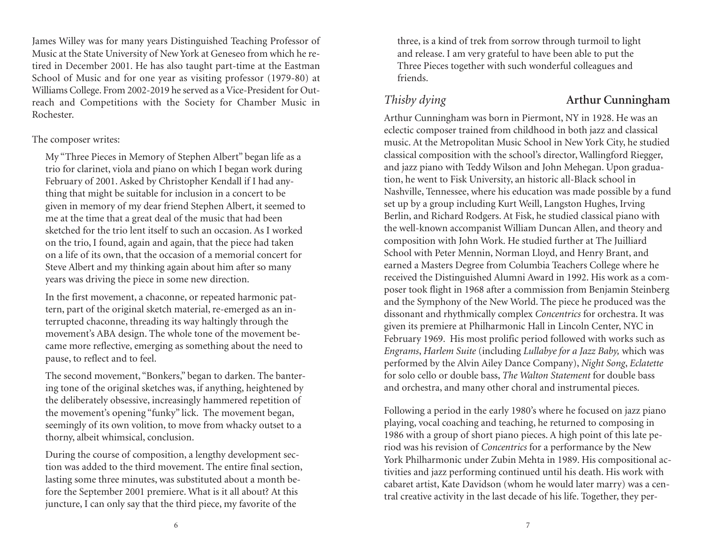James Willey was for many years Distinguished Teaching Professor of Music at the State University of New York at Geneseo from which he retired in December 2001. He has also taught part-time at the Eastman School of Music and for one year as visiting professor (1979-80) at Williams College. From 2002-2019 he served as a Vice-President for Outreach and Competitions with the Society for Chamber Music in Rochester.

The composer writes:

My "Three Pieces in Memory of Stephen Albert" began life as a trio for clarinet, viola and piano on which I began work during February of 2001. Asked by Christopher Kendall if I had anything that might be suitable for inclusion in a concert to be given in memory of my dear friend Stephen Albert, it seemed to me at the time that a great deal of the music that had been sketched for the trio lent itself to such an occasion. As I worked on the trio, I found, again and again, that the piece had taken on a life of its own, that the occasion of a memorial concert for Steve Albert and my thinking again about him after so many years was driving the piece in some new direction.

In the first movement, a chaconne, or repeated harmonic pattern, part of the original sketch material, re-emerged as an interrupted chaconne, threading its way haltingly through the movement's ABA design. The whole tone of the movement became more reflective, emerging as something about the need to pause, to reflect and to feel.

The second movement, "Bonkers," began to darken. The bantering tone of the original sketches was, if anything, heightened by the deliberately obsessive, increasingly hammered repetition of the movement's opening "funky" lick. The movement began, seemingly of its own volition, to move from whacky outset to a thorny, albeit whimsical, conclusion.

During the course of composition, a lengthy development section was added to the third movement. The entire final section, lasting some three minutes, was substituted about a month before the September 2001 premiere. What is it all about? At this juncture, I can only say that the third piece, my favorite of the

three, is a kind of trek from sorrow through turmoil to light and release. I am very grateful to have been able to put the Three Pieces together with such wonderful colleagues and friends.

### *Thisby dying* **Arthur Cunningham**

Arthur Cunningham was born in Piermont, NY in 1928. He was an eclectic composer trained from childhood in both jazz and classical music. At the Metropolitan Music School in New York City, he studied classical composition with the school's director, Wallingford Riegger, and jazz piano with Teddy Wilson and John Mehegan. Upon graduation, he went to Fisk University, an historic all-Black school in Nashville, Tennessee, where his education was made possible by a fund set up by a group including Kurt Weill, Langston Hughes, Irving Berlin, and Richard Rodgers. At Fisk, he studied classical piano with the well-known accompanist William Duncan Allen, and theory and composition with John Work. He studied further at The Juilliard School with Peter Mennin, Norman Lloyd, and Henry Brant, and earned a Masters Degree from Columbia Teachers College where he received the Distinguished Alumni Award in 1992. His work as a composer took flight in 1968 after a commission from Benjamin Steinberg and the Symphony of the New World. The piece he produced was the dissonant and rhythmically complex *Concentrics* for orchestra. It was given its premiere at Philharmonic Hall in Lincoln Center, NYC in February 1969. His most prolific period followed with works such as *Engrams*, *Harlem Suite* (including *Lullabye for a Jazz Baby,* which was performed by the Alvin Ailey Dance Company), *Night Song*, *Eclatette* for solo cello or double bass, *The Walton Statement* for double bass and orchestra, and many other choral and instrumental pieces.

Following a period in the early 1980's where he focused on jazz piano playing, vocal coaching and teaching, he returned to composing in 1986 with a group of short piano pieces. A high point of this late period was his revision of *Concentrics* for a performance by the New York Philharmonic under Zubin Mehta in 1989. His compositional activities and jazz performing continued until his death. His work with cabaret artist, Kate Davidson (whom he would later marry) was a central creative activity in the last decade of his life. Together, they per-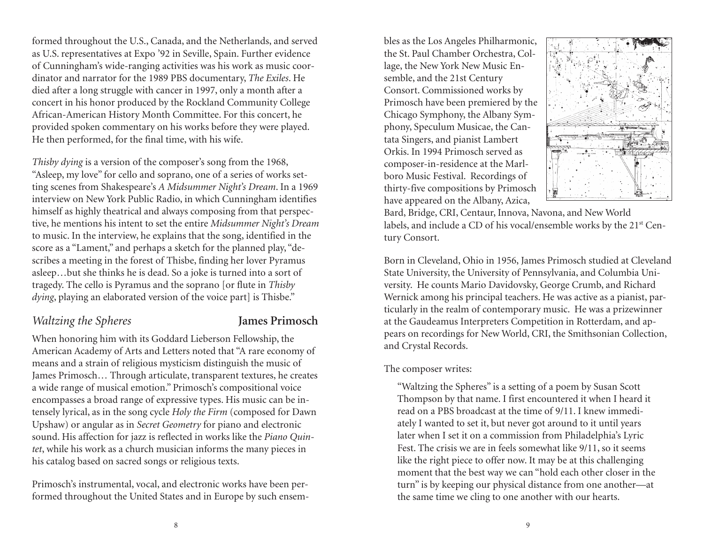formed throughout the U.S., Canada, and the Netherlands, and served as U.S. representatives at Expo '92 in Seville, Spain. Further evidence of Cunningham's wide-ranging activities was his work as music coordinator and narrator for the 1989 PBS documentary, *The Exiles*. He died after a long struggle with cancer in 1997, only a month after a concert in his honor produced by the Rockland Community College African-American History Month Committee. For this concert, he provided spoken commentary on his works before they were played. He then performed, for the final time, with his wife.

*Thisby dying* is a version of the composer's song from the 1968, "Asleep, my love" for cello and soprano, one of a series of works setting scenes from Shakespeare's *A Midsummer Night's Dream*. In a 1969 interview on New York Public Radio, in which Cunningham identifies himself as highly theatrical and always composing from that perspective, he mentions his intent to set the entire *Midsummer Night's Dream* to music. In the interview, he explains that the song, identified in the score as a "Lament," and perhaps a sketch for the planned play, "describes a meeting in the forest of Thisbe, finding her lover Pyramus asleep…but she thinks he is dead. So a joke is turned into a sort of tragedy. The cello is Pyramus and the soprano [or flute in *Thisby dying*, playing an elaborated version of the voice part] is Thisbe."

#### *Waltzing the Spheres* **James Primosch**

When honoring him with its Goddard Lieberson Fellowship, the American Academy of Arts and Letters noted that "A rare economy of means and a strain of religious mysticism distinguish the music of James Primosch… Through articulate, transparent textures, he creates a wide range of musical emotion." Primosch's compositional voice encompasses a broad range of expressive types. His music can be intensely lyrical, as in the song cycle *Holy the Firm* (composed for Dawn Upshaw) or angular as in *Secret Geometry* for piano and electronic sound. His affection for jazz is reflected in works like the *Piano Quintet*, while his work as a church musician informs the many pieces in his catalog based on sacred songs or religious texts.

Primosch's instrumental, vocal, and electronic works have been performed throughout the United States and in Europe by such ensembles as the Los Angeles Philharmonic, the St. Paul Chamber Orchestra, Col lage, the New York New Music En semble, and the 21st Century Consort. Commissioned works by Primosch have been premiered by the Chicago Symphony, the Albany Sym phony, Speculum Musicae, the Can tata Singers, and pianist Lambert Orkis. In 1994 Primosch served as composer-in-residence at the Marl-



boro Music Festival. Recordings of<br>thirty-five compositions by Primosch<br>have appeared on the Albany, Azica,<br>Bard, Bridge, CRI, Centaur, Innova, Navona, and New World<br>labels, and include a CD of his vocal/ensemble works by

tury Consort. Born in Cleveland, Ohio in 1956, James Primosch studied at Cleveland State University, the University of Pennsylvania, and Columbia Uni versity. He counts Mario Davidovsky, George Crumb, and Richard Wernick among his principal teachers. He was active as a pianist, par ticularly in the realm of contemporary music. He was a prizewinner at the Gaudeamus Interpreters Competition in Rotterdam, and ap-

pears on recordings for New World, CRI, the Smithsonian Collection,<br>and Crystal Records.<br>The composer writes:<br>"Waltzing the Spheres" is a setting of a poem by Susan Scott<br>Thompson by that name. I first encountered it when ately I wanted to set it, but never got around to it until years<br>later when I set it on a commission from Philadelphia's Lyric<br>Fest. The crisis we are in feels somewhat like 9/11, so it seems<br>like the right piece to offer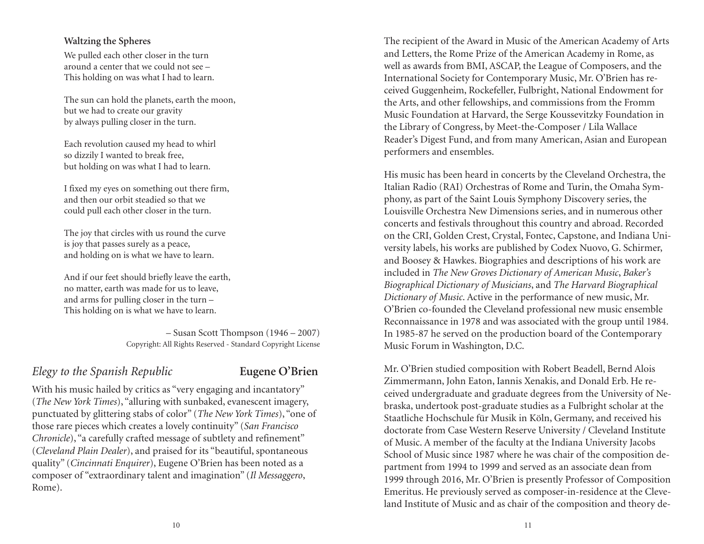#### **Waltzing the Spheres**

We pulled each other closer in the turn around a center that we could not see – This holding on was what I had to learn.

The sun can hold the planets, earth the moon, but we had to create our gravity by always pulling closer in the turn.

Each revolution caused my head to whirl so dizzily I wanted to break free, but holding on was what I had to learn.

I fixed my eyes on something out there firm, and then our orbit steadied so that we could pull each other closer in the turn.

The joy that circles with us round the curve is joy that passes surely as a peace, and holding on is what we have to learn.

And if our feet should briefly leave the earth, no matter, earth was made for us to leave, and arms for pulling closer in the turn – This holding on is what we have to learn.

> – Susan Scott Thompson (1946 – 2007) Copyright: All Rights Reserved - Standard Copyright License

### *Elegy to the Spanish Republic* **Eugene O'Brien**

With his music hailed by critics as "very engaging and incantatory" (*The New York Times*), "alluring with sunbaked, evanescent imagery, punctuated by glittering stabs of color" (*The New York Times*), "one of those rare pieces which creates a lovely continuity" (*San Francisco Chronicle*), "a carefully crafted message of subtlety and refinement" (*Cleveland Plain Dealer*), and praised for its "beautiful, spontaneous quality" (*Cincinnati Enquirer*), Eugene O'Brien has been noted as a composer of "extraordinary talent and imagination" (*Il Messaggero*, Rome).

The recipient of the Award in Music of the American Academy of Arts and Letters, the Rome Prize of the American Academy in Rome, as well as awards from BMI, ASCAP, the League of Composers, and the International Society for Contemporary Music, Mr. O'Brien has received Guggenheim, Rockefeller, Fulbright, National Endowment for the Arts, and other fellowships, and commissions from the Fromm Music Foundation at Harvard, the Serge Koussevitzky Foundation in the Library of Congress, by Meet-the-Composer / Lila Wallace Reader's Digest Fund, and from many American, Asian and European performers and ensembles.

His music has been heard in concerts by the Cleveland Orchestra, the Italian Radio (RAI) Orchestras of Rome and Turin, the Omaha Symphony, as part of the Saint Louis Symphony Discovery series, the Louisville Orchestra New Dimensions series, and in numerous other concerts and festivals throughout this country and abroad. Recorded on the CRI, Golden Crest, Crystal, Fontec, Capstone, and Indiana University labels, his works are published by Codex Nuovo, G. Schirmer, and Boosey & Hawkes. Biographies and descriptions of his work are included in *The New Groves Dictionary of American Music*, *Baker's Biographical Dictionary of Musicians*, and *The Harvard Biographical Dictionary of Music*. Active in the performance of new music, Mr. O'Brien co-founded the Cleveland professional new music ensemble Reconnaissance in 1978 and was associated with the group until 1984. In 1985-87 he served on the production board of the Contemporary Music Forum in Washington, D.C.

Mr. O'Brien studied composition with Robert Beadell, Bernd Alois Zimmermann, John Eaton, Iannis Xenakis, and Donald Erb. He received undergraduate and graduate degrees from the University of Nebraska, undertook post-graduate studies as a Fulbright scholar at the Staatliche Hochschule für Musik in Köln, Germany, and received his doctorate from Case Western Reserve University / Cleveland Institute of Music. A member of the faculty at the Indiana University Jacobs School of Music since 1987 where he was chair of the composition department from 1994 to 1999 and served as an associate dean from 1999 through 2016, Mr. O'Brien is presently Professor of Composition Emeritus. He previously served as composer-in-residence at the Cleveland Institute of Music and as chair of the composition and theory de-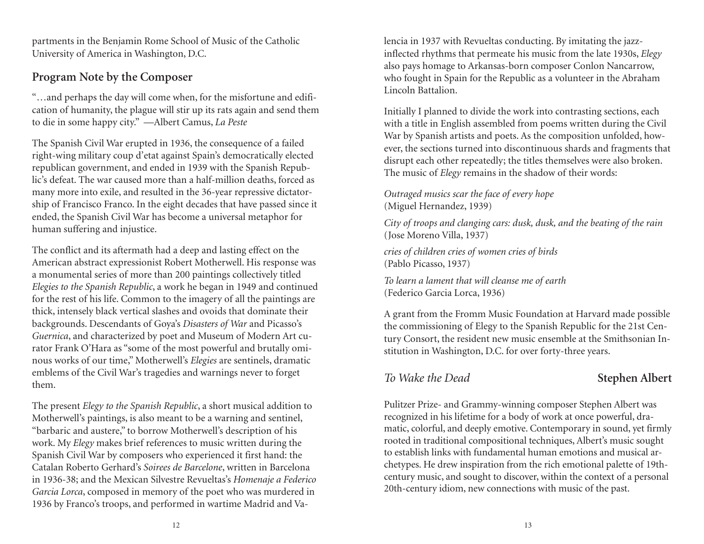partments in the Benjamin Rome School of Music of the Catholic University of America in Washington, D.C.

### **Program Note by the Composer**

"…and perhaps the day will come when, for the misfortune and edification of humanity, the plague will stir up its rats again and send them to die in some happy city." —Albert Camus, *La Peste*

The Spanish Civil War erupted in 1936, the consequence of a failed right-wing military coup d'etat against Spain's democratically elected republican government, and ended in 1939 with the Spanish Republic's defeat. The war caused more than a half-million deaths, forced as many more into exile, and resulted in the 36-year repressive dictatorship of Francisco Franco. In the eight decades that have passed since it ended, the Spanish Civil War has become a universal metaphor for human suffering and injustice.

The conflict and its aftermath had a deep and lasting effect on the American abstract expressionist Robert Motherwell. His response was a monumental series of more than 200 paintings collectively titled *Elegies to the Spanish Republic*, a work he began in 1949 and continued for the rest of his life. Common to the imagery of all the paintings are thick, intensely black vertical slashes and ovoids that dominate their backgrounds. Descendants of Goya's *Disasters of War* and Picasso's *Guernica*, and characterized by poet and Museum of Modern Art curator Frank O'Hara as "some of the most powerful and brutally ominous works of our time," Motherwell's *Elegies* are sentinels, dramatic emblems of the Civil War's tragedies and warnings never to forget them.

The present *Elegy to the Spanish Republic*, a short musical addition to Motherwell's paintings, is also meant to be a warning and sentinel, "barbaric and austere," to borrow Motherwell's description of his work. My *Elegy* makes brief references to music written during the Spanish Civil War by composers who experienced it first hand: the Catalan Roberto Gerhard's *Soirees de Barcelone*, written in Barcelona in 1936-38; and the Mexican Silvestre Revueltas's *Homenaje a Federico Garcia Lorca*, composed in memory of the poet who was murdered in 1936 by Franco's troops, and performed in wartime Madrid and Valencia in 1937 with Revueltas conducting. By imitating the jazz- inflected rhythms that permeate his music from the late 1930s, *Elegy* also pays homage to Arkansas-born composer Conlon Nancarrow,<br>who fought in Spain for the Republic as a volunteer in the Abraham<br>Lincoln Battalion.<br>Initially I planned to divide the work into contrasting sections, each<br>with

ever, the sections turned into discontinuous shards and fragments that disrupt each other repeatedly; the titles themselves were also broken. The music of *Elegy* remains in the shadow of their words:

#### *Outraged musics scar the face of every hope* (Miguel Hernandez, 1939)

*City of troops and clanging cars: dusk, dusk, and the beating of the rain* (Jose Moreno Villa, 1937)

*cries of children cries of women cries of birds* (Pablo Picasso, 1937)

*To learn a lament that will cleanse me of earth* 

(Federico Garcia Lorca, 1936) A grant from the Fromm Music Foundation at Harvard made possible the commissioning of Elegy to the Spanish Republic for the 21st Cen tury Consort, the resident new music ensemble at the Smithsonian In stitution in Washington, D.C. for over forty-three years.

*To Wake the Dead* **Stephen Albert** 

Pulitzer Prize- and Grammy-winning composer Stephen Albert was recognized in his lifetime for a body of work at once powerful, dra matic, colorful, and deeply emotive. Contemporary in sound, yet firmly rooted in traditional compositional techniques, Albert's music sought to establish links with fundamental human emotions and musical ar chetypes. He drew inspiration from the rich emotional palette of 19th century music, and sought to discover, within the context of a personal 20th-century idiom, new connections with music of the past.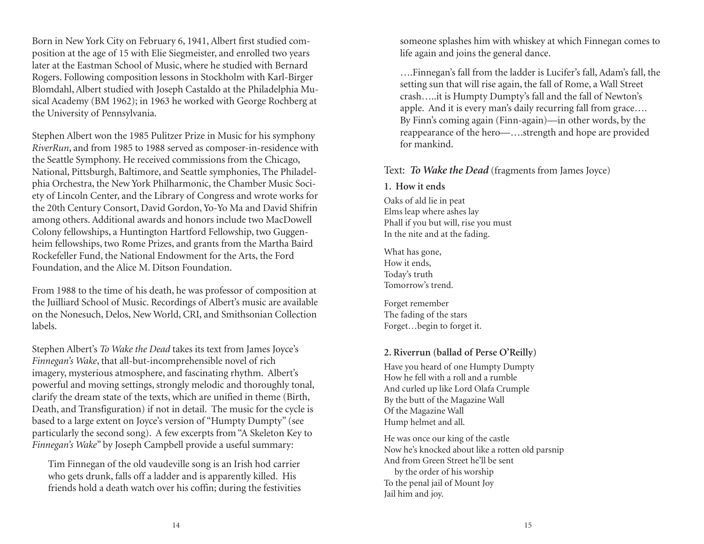Born in New York City on February 6, 1941, Albert first studied composition at the age of 15 with Elie Siegmeister, and enrolled two years later at the Eastman School of Music, where he studied with Bernard Rogers. Following composition lessons in Stockholm with Karl-Birger Blomdahl, Albert studied with Joseph Castaldo at the Philadelphia Musical Academy (BM 1962); in 1963 he worked with George Rochberg at the University of Pennsylvania.

Stephen Albert won the 1985 Pulitzer Prize in Music for his symphony *RiverRun*, and from 1985 to 1988 served as composer-in-residence with the Seattle Symphony. He received commissions from the Chicago, National, Pittsburgh, Baltimore, and Seattle symphonies, The Philadelphia Orchestra, the New York Philharmonic, the Chamber Music Society of Lincoln Center, and the Library of Congress and wrote works for the 20th Century Consort, David Gordon, Yo-Yo Ma and David Shifrin among others. Additional awards and honors include two MacDowell Colony fellowships, a Huntington Hartford Fellowship, two Guggenheim fellowships, two Rome Prizes, and grants from the Martha Baird Rockefeller Fund, the National Endowment for the Arts, the Ford Foundation, and the Alice M. Ditson Foundation.

From 1988 to the time of his death, he was professor of composition at the Juilliard School of Music. Recordings of Albert's music are available on the Nonesuch, Delos, New World, CRI, and Smithsonian Collection labels.

Stephen Albert's *To Wake the Dead* takes its text from James Joyce's *Finnegan's Wake*, that all-but-incomprehensible novel of rich imagery, mysterious atmosphere, and fascinating rhythm. Albert's powerful and moving settings, strongly melodic and thoroughly tonal, clarify the dream state of the texts, which are unified in theme (Birth, Death, and Transfiguration) if not in detail. The music for the cycle is based to a large extent on Joyce's version of "Humpty Dumpty" (see particularly the second song). A few excerpts from "A Skeleton Key to *Finnegan's Wake*" by Joseph Campbell provide a useful summary:

Tim Finnegan of the old vaudeville song is an Irish hod carrier who gets drunk, falls off a ladder and is apparently killed. His friends hold a death watch over his coffin; during the festivities someone splashes him with whiskey at which Finnegan comes to life again and joins the general dance.

….Finnegan's fall from the ladder is Lucifer's fall, Adam's fall, the setting sun that will rise again, the fall of Rome, a Wall Street crash…..it is Humpty Dumpty's fall and the fall of Newton's apple. And it is every man's daily recurring fall from grace…. By Finn's coming again (Finn-again)—in other words, by the reappearance of the hero—….strength and hope are provided for mankind.

Text: *To Wake the Dead* (fragments from James Joyce)

#### **1. How it ends**

Oaks of ald lie in peat Elms leap where ashes lay Phall if you but will, rise you must In the nite and at the fading.

What has gone, How it ends, Today's truth Tomorrow's trend.

Forget remember The fading of the stars Forget…begin to forget it.

#### **2. Riverrun (ballad of Perse O'Reilly)**

Have you heard of one Humpty Dumpty How he fell with a roll and a rumble And curled up like Lord Olafa Crumple By the butt of the Magazine Wall Of the Magazine Wall Hump helmet and all.

He was once our king of the castle Now he's knocked about like a rotten old parsnip And from Green Street he'll be sent by the order of his worship To the penal jail of Mount Joy Jail him and joy.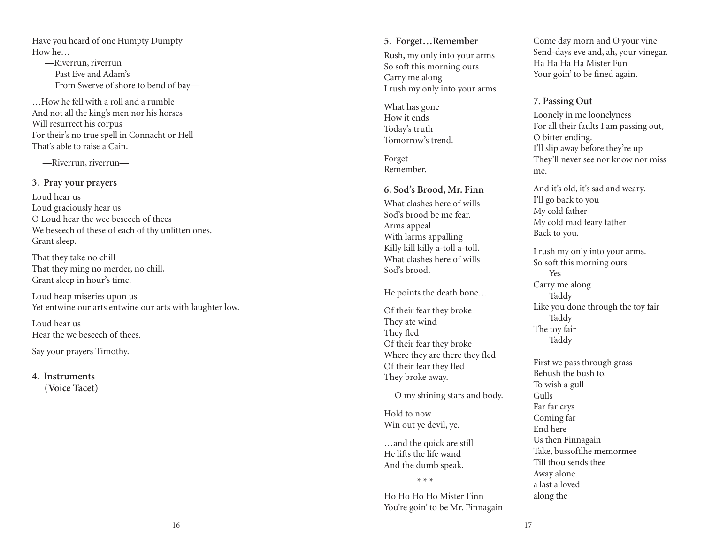Have you heard of one Humpty Dumpty How he…

 —Riverrun, riverrun Past Eve and Adam's From Swerve of shore to bend of bay*—*

…How he fell with a roll and a rumble And not all the king's men nor his horses Will resurrect his corpus For their's no true spell in Connacht or Hell That's able to raise a Cain.

*—*Riverrun, riverrun—

#### **3. Pray your prayers**

Loud hear us Loud graciously hear us O Loud hear the wee beseech of thees We beseech of these of each of thy unlitten ones. Grant sleep.

That they take no chill That they ming no merder, no chill, Grant sleep in hour's time.

Loud heap miseries upon us Yet entwine our arts entwine our arts with laughter low.

Loud hear us Hear the we beseech of thees.

Say your prayers Timothy.

**4. Instruments (Voice Tacet)** 

#### **5. Forget…Remember**

Rush, my only into your arms So soft this morning ours Carry me along I rush my only into your arms.

What has gone How it ends Today's truth Tomorrow's trend.

Forget Remember.

#### **6. Sod's Brood, Mr. Finn**

What clashes here of wills Sod's brood be me fear. Arms appeal With larms appalling Killy kill killy a-toll a-toll. What clashes here of wills Sod's brood.

He points the death bone…

Of their fear they broke They ate wind They fled Of their fear they broke Where they are there they fled Of their fear they fled They broke away.

O my shining stars and body.

Hold to now Win out ye devil, ye.

…and the quick are still He lifts the life wand And the dumb speak.

\* \* \*

Ho Ho Ho Ho Mister Finn You're goin' to be Mr. Finnagain Come day morn and O your vine Send-days eve and, ah, your vinegar. Ha Ha Ha Ha Mister Fun Your goin' to be fined again.

#### **7. Passing Out**

Loonely in me loonelyness For all their faults I am passing out, O bitter ending. I'll slip away before they're up They'll never see nor know nor miss me.

And it's old, it's sad and weary. I'll go back to you My cold father My cold mad feary father Back to you.

I rush my only into your arms. So soft this morning ours Yes Carry me along Taddy Like you done through the toy fair Taddy The toy fair Taddy

First we pass through grass Behush the bush to. To wish a gull Gulls Far far crys Coming far End here Us then Finnagain Take, bussoftlhe memormee Till thou sends thee Away alone a last a loved along the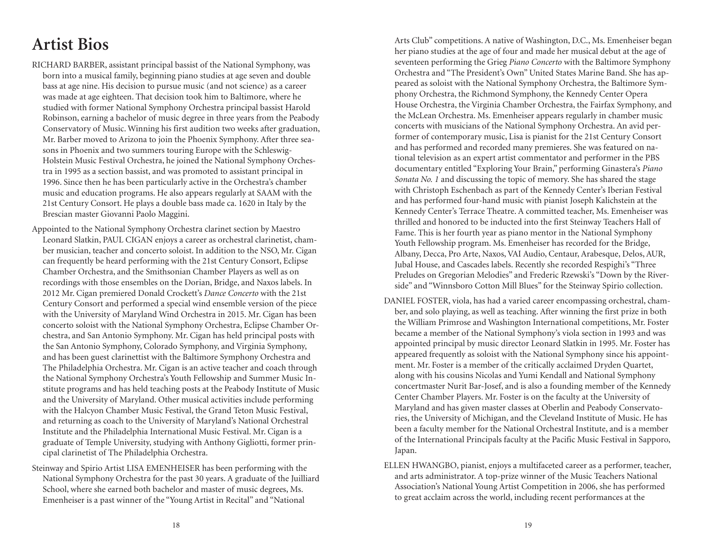# **Artist Bios**

- RICHARD BARBER, assistant principal bassist of the National Symphony, was born into a musical family, beginning piano studies at age seven and double bass at age nine. His decision to pursue music (and not science) as a career was made at age eighteen. That decision took him to Baltimore, where he studied with former National Symphony Orchestra principal bassist Harold Robinson, earning a bachelor of music degree in three years from the Peabody Conservatory of Music. Winning his first audition two weeks after graduation, Mr. Barber moved to Arizona to join the Phoenix Symphony. After three seasons in Phoenix and two summers touring Europe with the Schleswig-Holstein Music Festival Orchestra, he joined the National Symphony Orchestra in 1995 as a section bassist, and was promoted to assistant principal in 1996. Since then he has been particularly active in the Orchestra's chamber music and education programs. He also appears regularly at SAAM with the 21st Century Consort. He plays a double bass made ca. 1620 in Italy by the Brescian master Giovanni Paolo Maggini.
- Appointed to the National Symphony Orchestra clarinet section by Maestro Leonard Slatkin, PAUL CIGAN enjoys a career as orchestral clarinetist, chamber musician, teacher and concerto soloist. In addition to the NSO, Mr. Cigan can frequently be heard performing with the 21st Century Consort, Eclipse Chamber Orchestra, and the Smithsonian Chamber Players as well as on recordings with those ensembles on the Dorian, Bridge, and Naxos labels. In 2012 Mr. Cigan premiered Donald Crockett's *Dance Concerto* with the 21st Century Consort and performed a special wind ensemble version of the piece with the University of Maryland Wind Orchestra in 2015. Mr. Cigan has been concerto soloist with the National Symphony Orchestra, Eclipse Chamber Orchestra, and San Antonio Symphony. Mr. Cigan has held principal posts with the San Antonio Symphony, Colorado Symphony, and Virginia Symphony, and has been guest clarinettist with the Baltimore Symphony Orchestra and The Philadelphia Orchestra. Mr. Cigan is an active teacher and coach through the National Symphony Orchestra's Youth Fellowship and Summer Music Institute programs and has held teaching posts at the Peabody Institute of Music and the University of Maryland. Other musical activities include performing with the Halcyon Chamber Music Festival, the Grand Teton Music Festival, and returning as coach to the University of Maryland's National Orchestral Institute and the Philadelphia International Music Festival. Mr. Cigan is a graduate of Temple University, studying with Anthony Gigliotti, former principal clarinetist of The Philadelphia Orchestra.
- Steinway and Spirio Artist LISA EMENHEISER has been performing with the National Symphony Orchestra for the past 30 years. A graduate of the Juilliard School, where she earned both bachelor and master of music degrees, Ms. Emenheiser is a past winner of the "Young Artist in Recital" and "National

Arts Club" competitions. A native of Washington, D.C., Ms. Emenheiser began her piano studies at the age of four and made her musical debut at the age of seventeen performing the Grieg *Piano Concerto* with the Baltimore Symphony Orchestra and "The President's Own" United States Marine Band. She has appeared as soloist with the National Symphony Orchestra, the Baltimore Symphony Orchestra, the Richmond Symphony, the Kennedy Center Opera House Orchestra, the Virginia Chamber Orchestra, the Fairfax Symphony, and the McLean Orchestra. Ms. Emenheiser appears regularly in chamber music concerts with musicians of the National Symphony Orchestra. An avid performer of contemporary music, Lisa is pianist for the 21st Century Consort and has performed and recorded many premieres. She was featured on national television as an expert artist commentator and performer in the PBS documentary entitled "Exploring Your Brain," performing Ginastera's *Piano Sonata No. 1* and discussing the topic of memory. She has shared the stage with Christoph Eschenbach as part of the Kennedy Center's Iberian Festival and has performed four-hand music with pianist Joseph Kalichstein at the Kennedy Center's Terrace Theatre. A committed teacher, Ms. Emenheiser was thrilled and honored to be inducted into the first Steinway Teachers Hall of Fame. This is her fourth year as piano mentor in the National Symphony Youth Fellowship program. Ms. Emenheiser has recorded for the Bridge, Albany, Decca, Pro Arte, Naxos, VAI Audio, Centaur, Arabesque, Delos, AUR, Jubal House, and Cascades labels. Recently she recorded Respighi's "Three Preludes on Gregorian Melodies" and Frederic Rzewski's "Down by the Riverside" and "Winnsboro Cotton Mill Blues" for the Steinway Spirio collection.

- DANIEL FOSTER, viola, has had a varied career encompassing orchestral, chamber, and solo playing, as well as teaching. After winning the first prize in both the William Primrose and Washington International competitions, Mr. Foster became a member of the National Symphony's viola section in 1993 and was appointed principal by music director Leonard Slatkin in 1995. Mr. Foster has appeared frequently as soloist with the National Symphony since his appointment. Mr. Foster is a member of the critically acclaimed Dryden Quartet, along with his cousins Nicolas and Yumi Kendall and National Symphony concertmaster Nurit Bar-Josef, and is also a founding member of the Kennedy Center Chamber Players. Mr. Foster is on the faculty at the University of Maryland and has given master classes at Oberlin and Peabody Conservatories, the University of Michigan, and the Cleveland Institute of Music. He has been a faculty member for the National Orchestral Institute, and is a member of the International Principals faculty at the Pacific Music Festival in Sapporo, Japan.
- ELLEN HWANGBO, pianist, enjoys a multifaceted career as a performer, teacher, and arts administrator. A top-prize winner of the Music Teachers National Association's National Young Artist Competition in 2006, she has performed to great acclaim across the world, including recent performances at the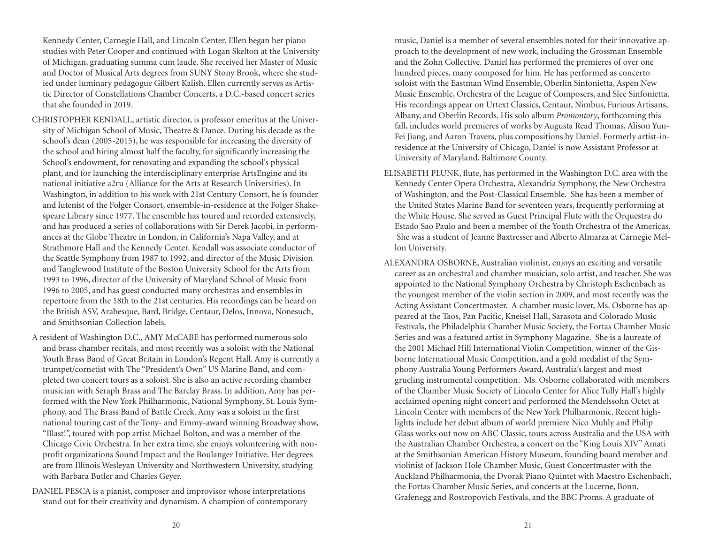Kennedy Center, Carnegie Hall, and Lincoln Center. Ellen began her piano studies with Peter Cooper and continued with Logan Skelton at the University of Michigan, graduating summa cum laude. She received her Master of Music and Doctor of Musical Arts degrees from SUNY Stony Brook, where she studied under luminary pedagogue Gilbert Kalish. Ellen currently serves as Artistic Director of Constellations Chamber Concerts, a D.C.-based concert series that she founded in 2019.

- CHRISTOPHER KENDALL, artistic director, is professor emeritus at the University of Michigan School of Music, Theatre & Dance. During his decade as the school's dean (2005-2015), he was responsible for increasing the diversity of the school and hiring almost half the faculty, for significantly increasing the School's endowment, for renovating and expanding the school's physical plant, and for launching the interdisciplinary enterprise ArtsEngine and its national initiative a2ru (Alliance for the Arts at Research Universities). In Washington, in addition to his work with 21st Century Consort, he is founder and lutenist of the Folger Consort, ensemble-in-residence at the Folger Shakespeare Library since 1977. The ensemble has toured and recorded extensively, and has produced a series of collaborations with Sir Derek Jacobi, in performances at the Globe Theatre in London, in California's Napa Valley, and at Strathmore Hall and the Kennedy Center. Kendall was associate conductor of the Seattle Symphony from 1987 to 1992, and director of the Music Division and Tanglewood Institute of the Boston University School for the Arts from 1993 to 1996, director of the University of Maryland School of Music from 1996 to 2005, and has guest conducted many orchestras and ensembles in repertoire from the 18th to the 21st centuries. His recordings can be heard on the British ASV, Arabesque, Bard, Bridge, Centaur, Delos, Innova, Nonesuch, and Smithsonian Collection labels.
- A resident of Washington D.C., AMY McCABE has performed numerous solo and brass chamber recitals, and most recently was a soloist with the National Youth Brass Band of Great Britain in London's Regent Hall. Amy is currently a trumpet/cornetist with The "President's Own" US Marine Band, and completed two concert tours as a soloist. She is also an active recording chamber musician with Seraph Brass and The Barclay Brass. In addition, Amy has performed with the New York Philharmonic, National Symphony, St. Louis Symphony, and The Brass Band of Battle Creek. Amy was a soloist in the first national touring cast of the Tony- and Emmy-award winning Broadway show, "Blast!", toured with pop artist Michael Bolton, and was a member of the Chicago Civic Orchestra. In her extra time, she enjoys volunteering with nonprofit organizations Sound Impact and the Boulanger Initiative. Her degrees are from Illinois Wesleyan University and Northwestern University, studying with Barbara Butler and Charles Geyer.
- DANIEL PESCA is a pianist, composer and improvisor whose interpretations stand out for their creativity and dynamism. A champion of contemporary

music, Daniel is a member of several ensembles noted for their innovative approach to the development of new work, including the Grossman Ensemble and the Zohn Collective. Daniel has performed the premieres of over one hundred pieces, many composed for him. He has performed as concerto soloist with the Eastman Wind Ensemble, Oberlin Sinfonietta, Aspen New Music Ensemble, Orchestra of the League of Composers, and Slee Sinfonietta. His recordings appear on Urtext Classics, Centaur, Nimbus, Furious Artisans, Albany, and Oberlin Records. His solo album *Promontory*, forthcoming this fall, includes world premieres of works by Augusta Read Thomas, Alison Yun-Fei Jiang, and Aaron Travers, plus compositions by Daniel. Formerly artist-inresidence at the University of Chicago, Daniel is now Assistant Professor at University of Maryland, Baltimore County.

- ELISABETH PLUNK, flute, has performed in the Washington D.C. area with the Kennedy Center Opera Orchestra, Alexandria Symphony, the New Orchestra of Washington, and the Post-Classical Ensemble. She has been a member of the United States Marine Band for seventeen years, frequently performing at the White House. She served as Guest Principal Flute with the Orquestra do Estado Sao Paulo and been a member of the Youth Orchestra of the Americas. She was a student of Jeanne Baxtresser and Alberto Almarza at Carnegie Mellon University.
- ALEXANDRA OSBORNE, Australian violinist, enjoys an exciting and versatile career as an orchestral and chamber musician, solo artist, and teacher. She was appointed to the National Symphony Orchestra by Christoph Eschenbach as the youngest member of the violin section in 2009, and most recently was the Acting Assistant Concertmaster. A chamber music lover, Ms. Osborne has appeared at the Taos, Pan Pacific, Kneisel Hall, Sarasota and Colorado Music Festivals, the Philadelphia Chamber Music Society, the Fortas Chamber Music Series and was a featured artist in Symphony Magazine. She is a laureate of the 2001 Michael Hill International Violin Competition, winner of the Gisborne International Music Competition, and a gold medalist of the Symphony Australia Young Performers Award, Australia's largest and most grueling instrumental competition. Ms. Osborne collaborated with members of the Chamber Music Society of Lincoln Center for Alice Tully Hall's highly acclaimed opening night concert and performed the Mendelssohn Octet at Lincoln Center with members of the New York Philharmonic. Recent highlights include her debut album of world premiere Nico Muhly and Philip Glass works out now on ABC Classic, tours across Australia and the USA with the Australian Chamber Orchestra, a concert on the "King Louis XIV" Amati at the Smithsonian American History Museum, founding board member and violinist of Jackson Hole Chamber Music, Guest Concertmaster with the Auckland Philharmonia, the Dvorak Piano Quintet with Maestro Eschenbach, the Fortas Chamber Music Series, and concerts at the Lucerne, Bonn, Grafenegg and Rostropovich Festivals, and the BBC Proms. A graduate of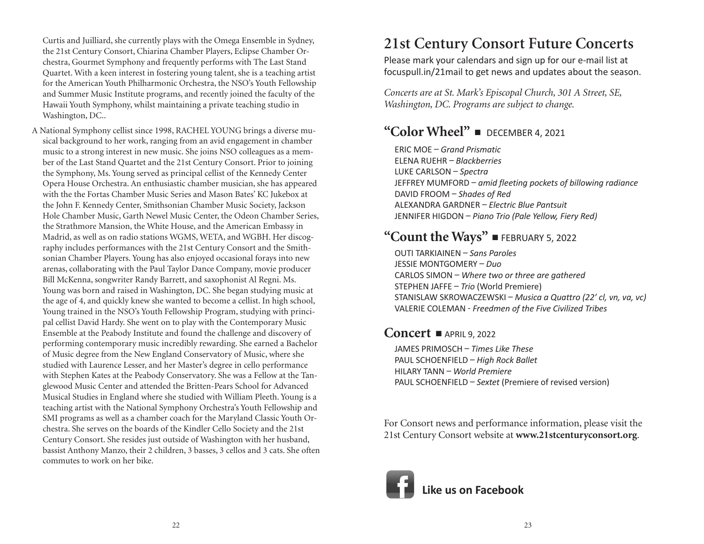Curtis and Juilliard, she currently plays with the Omega Ensemble in Sydney, the 21st Century Consort, Chiarina Chamber Players, Eclipse Chamber Orchestra, Gourmet Symphony and frequently performs with The Last Stand Quartet. With a keen interest in fostering young talent, she is a teaching artist for the American Youth Philharmonic Orchestra, the NSO's Youth Fellowship and Summer Music Institute programs, and recently joined the faculty of the Hawaii Youth Symphony, whilst maintaining a private teaching studio in Washington, DC..

A National Symphony cellist since 1998, RACHEL YOUNG brings a diverse musical background to her work, ranging from an avid engagement in chamber music to a strong interest in new music. She joins NSO colleagues as a member of the Last Stand Quartet and the 21st Century Consort. Prior to joining the Symphony, Ms. Young served as principal cellist of the Kennedy Center Opera House Orchestra. An enthusiastic chamber musician, she has appeared with the the Fortas Chamber Music Series and Mason Bates' KC Jukebox at the John F. Kennedy Center, Smithsonian Chamber Music Society, Jackson Hole Chamber Music, Garth Newel Music Center, the Odeon Chamber Series, the Strathmore Mansion, the White House, and the American Embassy in Madrid, as well as on radio stations WGMS, WETA, and WGBH. Her discography includes performances with the 21st Century Consort and the Smithsonian Chamber Players. Young has also enjoyed occasional forays into new arenas, collaborating with the Paul Taylor Dance Company, movie producer Bill McKenna, songwriter Randy Barrett, and saxophonist Al Regni. Ms. Young was born and raised in Washington, DC. She began studying music at the age of 4, and quickly knew she wanted to become a cellist. In high school, Young trained in the NSO's Youth Fellowship Program, studying with principal cellist David Hardy. She went on to play with the Contemporary Music Ensemble at the Peabody Institute and found the challenge and discovery of performing contemporary music incredibly rewarding. She earned a Bachelor of Music degree from the New England Conservatory of Music, where she studied with Laurence Lesser, and her Master's degree in cello performance with Stephen Kates at the Peabody Conservatory. She was a Fellow at the Tanglewood Music Center and attended the Britten-Pears School for Advanced Musical Studies in England where she studied with William Pleeth. Young is a teaching artist with the National Symphony Orchestra's Youth Fellowship and SMI programs as well as a chamber coach for the Maryland Classic Youth Orchestra. She serves on the boards of the Kindler Cello Society and the 21st Century Consort. She resides just outside of Washington with her husband, bassist Anthony Manzo, their 2 children, 3 basses, 3 cellos and 3 cats. She often commutes to work on her bike.

## **21st Century Consort Future Concerts**

Please mark your calendars and sign up for our e-mail list at focuspull.in/21mail to get news and updates about the season.

*Concerts are at St. Mark's Episcopal Church, 301 A Street, SE, Washington, DC. Programs are subject to change.*

### **"Color Wheel"** - DECEMBER 4, 2021

ERIC MOE – *Grand Prismatic* ELENA RUEHR – *Blackberries* LUKE CARLSON – *Spectra* JEFFREY MUMFORD – *amid fleeting pockets of billowing radiance* DAVID FROOM – *Shades of Red* ALEXANDRA GARDNER – *Electric Blue Pantsuit* JENNIFER HIGDON – *Piano Trio (Pale Yellow, Fiery Red)*

## **"Count the Ways"**  $\blacksquare$  february 5, 2022

OUTI TARKIAINEN – *Sans Paroles* JESSIE MONTGOMERY – *Duo* CARLOS SIMON – *Where two or three are gathered* STEPHEN JAFFE – *Trio* (World Premiere) STANISLAW SKROWACZEWSKI – *Musica a Quattro (22' cl, vn, va, vc)* VALERIE COLEMAN - *Freedmen of the Five Civilized Tribes*

### **Concert -** APRIL 9, 2022

JAMES PRIMOSCH – *Times Like These*  PAUL SCHOENFIELD – *High Rock Ballet* HILARY TANN – *World Premiere* PAUL SCHOENFIELD – *Sextet* (Premiere of revised version)

For Consort news and performance information, please visit the 21st Century Consort website at **www.21stcenturyconsort.org**.